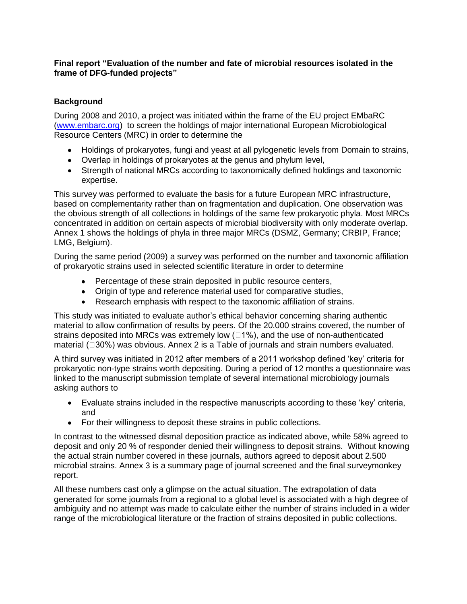# **Final report "Evaluation of the number and fate of microbial resources isolated in the frame of DFG-funded projects"**

# **Background**

During 2008 and 2010, a project was initiated within the frame of the EU project EMbaRC [\(www.embarc.org\)](http://www.embarc.org/) to screen the holdings of major international European Microbiological Resource Centers (MRC) in order to determine the

- Holdings of prokaryotes, fungi and yeast at all pylogenetic levels from Domain to strains,
- Overlap in holdings of prokaryotes at the genus and phylum level,
- Strength of national MRCs according to taxonomically defined holdings and taxonomic expertise.

This survey was performed to evaluate the basis for a future European MRC infrastructure, based on complementarity rather than on fragmentation and duplication. One observation was the obvious strength of all collections in holdings of the same few prokaryotic phyla. Most MRCs concentrated in addition on certain aspects of microbial biodiversity with only moderate overlap. Annex 1 shows the holdings of phyla in three major MRCs (DSMZ, Germany; CRBIP, France; LMG, Belgium).

During the same period (2009) a survey was performed on the number and taxonomic affiliation of prokaryotic strains used in selected scientific literature in order to determine

- Percentage of these strain deposited in public resource centers,
- Origin of type and reference material used for comparative studies,
- Research emphasis with respect to the taxonomic affiliation of strains.

This study was initiated to evaluate author's ethical behavior concerning sharing authentic material to allow [confirmation](http://dict.leo.org/#/search=confirmability&searchLoc=1&resultOrder=basic&multiwordShowSingle=on) of results by peers. Of the 20.000 strains covered, the number of strains deposited into MRCs was extremely low  $(1%)$ , and the use of non-authenticated material  $( \Box 30\%)$  was obvious. Annex 2 is a Table of journals and strain numbers evaluated.

A third survey was initiated in 2012 after members of a 2011 workshop defined 'key' criteria for prokaryotic non-type strains worth depositing. During a period of 12 months a questionnaire was linked to the manuscript submission template of several international microbiology journals asking authors to

- Evaluate strains included in the respective manuscripts according to these 'key' criteria,  $\bullet$ and
- For their willingness to deposit these strains in public collections.  $\bullet$

In contrast to the witnessed dismal deposition practice as indicated above, while 58% agreed to deposit and only 20 % of responder denied their willingness to deposit strains. Without knowing the actual strain number covered in these journals, authors agreed to deposit about 2.500 microbial strains. Annex 3 is a summary page of journal screened and the final surveymonkey report.

All these numbers cast only a glimpse on the actual situation. The extrapolation of data generated for some journals from a regional to a global level is associated with a high degree of ambiguity and no attempt was made to calculate either the number of strains included in a wider range of the microbiological literature or the fraction of strains deposited in public collections.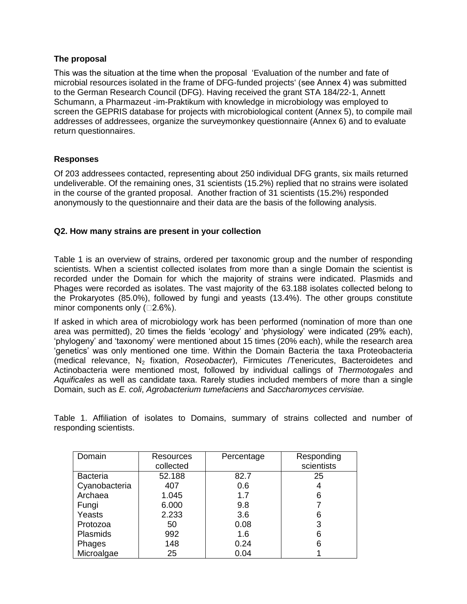# **The proposal**

This was the situation at the time when the proposal 'Evaluation of the number and fate of microbial resources isolated in the frame of DFG-funded projects' (see Annex 4) was submitted to the German Research Council (DFG). Having received the grant STA 184/22-1, Annett Schumann, a Pharmazeut -im-Praktikum with knowledge in microbiology was employed to screen the GEPRIS database for projects with microbiological content (Annex 5), to compile mail addresses of addressees, organize the surveymonkey questionnaire (Annex 6) and to evaluate return questionnaires.

# **Responses**

Of 203 addressees contacted, representing about 250 individual DFG grants, six mails returned undeliverable. Of the remaining ones, 31 scientists (15.2%) replied that no strains were isolated in the course of the granted proposal. Another fraction of 31 scientists (15.2%) responded anonymously to the questionnaire and their data are the basis of the following analysis.

#### **Q2. How many strains are present in your collection**

Table 1 is an overview of strains, ordered per taxonomic group and the number of responding scientists. When a scientist collected isolates from more than a single Domain the scientist is recorded under the Domain for which the majority of strains were indicated. Plasmids and Phages were recorded as isolates. The vast majority of the 63.188 isolates collected belong to the Prokaryotes (85.0%), followed by fungi and yeasts (13.4%). The other groups constitute minor components only  $(□2.6%).$ 

If asked in which area of microbiology work has been performed (nomination of more than one area was permitted), 20 times the fields 'ecology' and 'physiology' were indicated (29% each), 'phylogeny' and 'taxonomy' were mentioned about 15 times (20% each), while the research area 'genetics' was only mentioned one time. Within the Domain Bacteria the taxa Proteobacteria (medical relevance, N<sup>2</sup> fixation, *Roseobacter*), Firmicutes /Tenericutes, Bacteroidetes and Actinobacteria were mentioned most, followed by individual callings of *Thermotogales* and *Aquificales* as well as candidate taxa. Rarely studies included members of more than a single Domain, such as *E. coli*, *Agrobacterium tumefaciens* and *Saccharomyces cervisiae.*

Table 1. Affiliation of isolates to Domains, summary of strains collected and number of responding scientists.

| Domain          | Resources | Percentage | Responding |
|-----------------|-----------|------------|------------|
|                 | collected |            | scientists |
| <b>Bacteria</b> | 52.188    | 82.7       | 25         |
| Cyanobacteria   | 407       | 0.6        | 4          |
| Archaea         | 1.045     | 1.7        | 6          |
| Fungi           | 6.000     | 9.8        |            |
| Yeasts          | 2.233     | 3.6        | 6          |
| Protozoa        | 50        | 0.08       | 3          |
| <b>Plasmids</b> | 992       | 1.6        | 6          |
| Phages          | 148       | 0.24       | 6          |
| Microalgae      | 25        | 0.04       |            |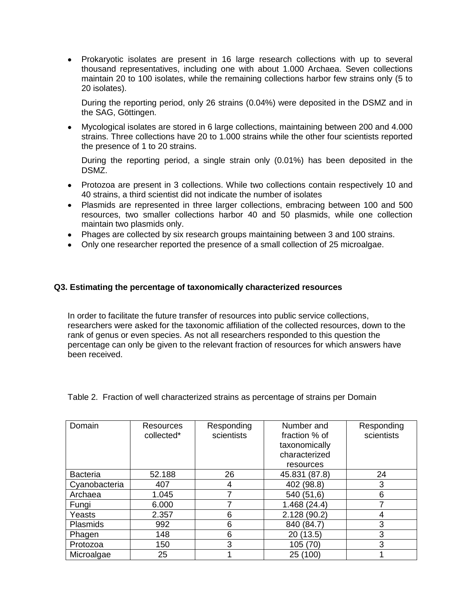• Prokaryotic isolates are present in 16 large research collections with up to several thousand representatives, including one with about 1.000 Archaea. Seven collections maintain 20 to 100 isolates, while the remaining collections harbor few strains only (5 to 20 isolates).

During the reporting period, only 26 strains (0.04%) were deposited in the DSMZ and in the SAG, Göttingen.

Mycological isolates are stored in 6 large collections, maintaining between 200 and 4.000 strains. Three collections have 20 to 1.000 strains while the other four scientists reported the presence of 1 to 20 strains.

During the reporting period, a single strain only (0.01%) has been deposited in the DSMZ.

- Protozoa are present in 3 collections. While two collections contain respectively 10 and 40 strains, a third scientist did not indicate the number of isolates
- Plasmids are represented in three larger collections, embracing between 100 and 500 resources, two smaller collections harbor 40 and 50 plasmids, while one collection maintain two plasmids only.
- Phages are collected by six research groups maintaining between 3 and 100 strains.
- Only one researcher reported the presence of a small collection of 25 microalgae.

#### **Q3. Estimating the percentage of taxonomically characterized resources**

In order to facilitate the future transfer of resources into public service collections, researchers were asked for the taxonomic affiliation of the collected resources, down to the rank of genus or even species. As not all researchers responded to this question the percentage can only be given to the relevant fraction of resources for which answers have been received.

| Domain          | Resources<br>collected* | Responding<br>scientists | Number and<br>fraction % of | Responding<br>scientists |
|-----------------|-------------------------|--------------------------|-----------------------------|--------------------------|
|                 |                         |                          | taxonomically               |                          |
|                 |                         |                          | characterized               |                          |
|                 |                         |                          | resources                   |                          |
| <b>Bacteria</b> | 52.188                  | 26                       | 45.831 (87.8)               | 24                       |
| Cyanobacteria   | 407                     | 4                        | 402 (98.8)                  | 3                        |
| Archaea         | 1.045                   |                          | 540 (51,6)                  | 6                        |
| Fungi           | 6.000                   |                          | 1.468(24.4)                 |                          |
| Yeasts          | 2.357                   | 6                        | 2.128 (90.2)                |                          |
| Plasmids        | 992                     | 6                        | 840 (84.7)                  | 3                        |
| Phagen          | 148                     | 6                        | 20 (13.5)                   | 3                        |
| Protozoa        | 150                     | 3                        | 105 (70)                    | 3                        |
| Microalgae      | 25                      |                          | 25 (100)                    |                          |

Table 2. Fraction of well characterized strains as percentage of strains per Domain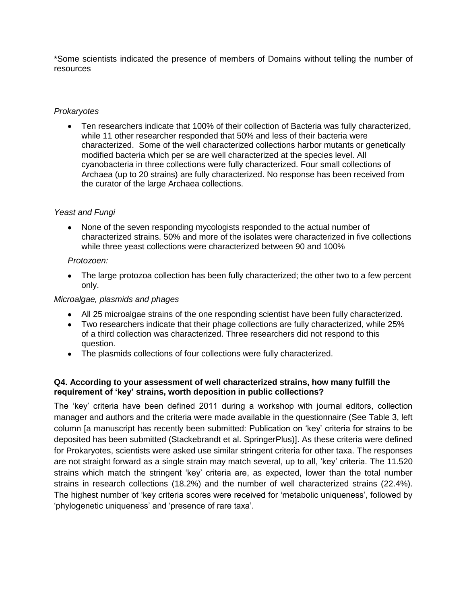\*Some scientists indicated the presence of members of Domains without telling the number of resources

# *Prokaryotes*

Ten researchers indicate that 100% of their collection of Bacteria was fully characterized, while 11 other researcher responded that 50% and less of their bacteria were characterized. Some of the well characterized collections harbor mutants or genetically modified bacteria which per se are well characterized at the species level. All cyanobacteria in three collections were fully characterized. Four small collections of Archaea (up to 20 strains) are fully characterized. No response has been received from the curator of the large Archaea collections.

# *Yeast and Fungi*

None of the seven responding mycologists responded to the actual number of characterized strains. 50% and more of the isolates were characterized in five collections while three yeast collections were characterized between 90 and 100%

#### *Protozoen:*

The large protozoa collection has been fully characterized; the other two to a few percent only.

#### *Microalgae, plasmids and phages*

- All 25 microalgae strains of the one responding scientist have been fully characterized.
- Two researchers indicate that their phage collections are fully characterized, while 25% of a third collection was characterized. Three researchers did not respond to this question.
- The plasmids collections of four collections were fully characterized.

# **Q4. According to your assessment of well characterized strains, how many fulfill the requirement of 'key' strains, worth deposition in public collections?**

The 'key' criteria have been defined 2011 during a workshop with journal editors, collection manager and authors and the criteria were made available in the questionnaire (See Table 3, left column [a manuscript has recently been submitted: Publication on 'key' criteria for strains to be deposited has been submitted (Stackebrandt et al. SpringerPlus)]. As these criteria were defined for Prokaryotes, scientists were asked use similar stringent criteria for other taxa. The responses are not straight forward as a single strain may match several, up to all, 'key' criteria. The 11.520 strains which match the stringent 'key' criteria are, as expected, lower than the total number strains in research collections (18.2%) and the number of well characterized strains (22.4%). The highest number of 'key criteria scores were received for 'metabolic uniqueness', followed by 'phylogenetic uniqueness' and 'presence of rare taxa'.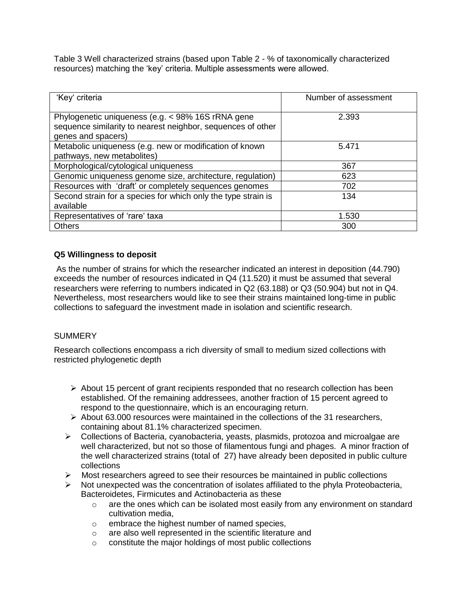Table 3 Well characterized strains (based upon Table 2 - % of taxonomically characterized resources) matching the 'key' criteria. Multiple assessments were allowed.

| 'Key' criteria                                                                                                                         | Number of assessment |
|----------------------------------------------------------------------------------------------------------------------------------------|----------------------|
| Phylogenetic uniqueness (e.g. < 98% 16S rRNA gene<br>sequence similarity to nearest neighbor, sequences of other<br>genes and spacers) | 2.393                |
| Metabolic uniqueness (e.g. new or modification of known<br>pathways, new metabolites)                                                  | 5.471                |
| Morphological/cytological uniqueness                                                                                                   | 367                  |
| Genomic uniqueness genome size, architecture, regulation)                                                                              | 623                  |
| Resources with 'draft' or completely sequences genomes                                                                                 | 702                  |
| Second strain for a species for which only the type strain is<br>available                                                             | 134                  |
| Representatives of 'rare' taxa                                                                                                         | 1.530                |
| <b>Others</b>                                                                                                                          | 300                  |

# **Q5 Willingness to deposit**

As the number of strains for which the researcher indicated an interest in deposition (44.790) exceeds the number of resources indicated in Q4 (11.520) it must be assumed that several researchers were referring to numbers indicated in Q2 (63.188) or Q3 (50.904) but not in Q4. Nevertheless, most researchers would like to see their strains maintained long-time in public collections to safeguard the investment made in isolation and scientific research.

# **SUMMERY**

Research collections encompass a rich diversity of small to medium sized collections with restricted phylogenetic depth

- $\triangleright$  About 15 percent of grant recipients responded that no research collection has been established. Of the remaining addressees, another fraction of 15 percent agreed to respond to the questionnaire, which is an encouraging return.
- $\triangleright$  About 63.000 resources were maintained in the collections of the 31 researchers, containing about 81.1% characterized specimen.
- Collections of Bacteria, cyanobacteria, yeasts, plasmids, protozoa and microalgae are well characterized, but not so those of filamentous fungi and phages. A minor fraction of the well characterized strains (total of 27) have already been deposited in public culture collections
- Most researchers agreed to see their resources be maintained in public collections
- $\triangleright$  Not unexpected was the concentration of isolates affiliated to the phyla Proteobacteria, Bacteroidetes, Firmicutes and Actinobacteria as these
	- $\circ$  are the ones which can be isolated most easily from any environment on standard cultivation media,
	- o embrace the highest number of named species,
	- o are also well represented in the scientific literature and
	- o constitute the major holdings of most public collections